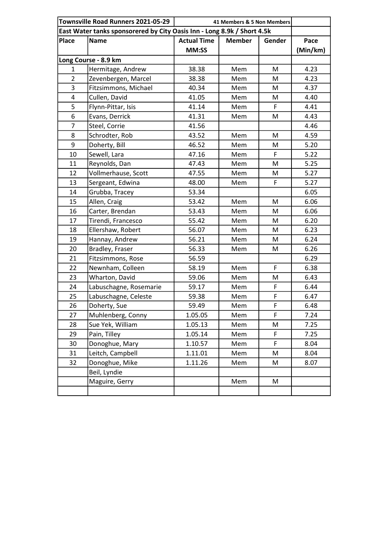| Townsville Road Runners 2021-05-29 |                        | 41 Members & 5 Non Members                                              |               |        |          |
|------------------------------------|------------------------|-------------------------------------------------------------------------|---------------|--------|----------|
|                                    |                        | East Water tanks sponsorered by City Oasis Inn - Long 8.9k / Short 4.5k |               |        |          |
| <b>Place</b>                       | <b>Name</b>            | <b>Actual Time</b>                                                      | <b>Member</b> | Gender | Pace     |
|                                    |                        | MM:SS                                                                   |               |        | (Min/km) |
| Long Course - 8.9 km               |                        |                                                                         |               |        |          |
| 1                                  | Hermitage, Andrew      | 38.38                                                                   | Mem           | M      | 4.23     |
| $\overline{2}$                     | Zevenbergen, Marcel    | 38.38                                                                   | Mem           | M      | 4.23     |
| 3                                  | Fitzsimmons, Michael   | 40.34                                                                   | Mem           | M      | 4.37     |
| 4                                  | Cullen, David          | 41.05                                                                   | Mem           | M      | 4.40     |
| 5                                  | Flynn-Pittar, Isis     | 41.14                                                                   | Mem           | F      | 4.41     |
| 6                                  | Evans, Derrick         | 41.31                                                                   | Mem           | M      | 4.43     |
| $\overline{7}$                     | Steel, Corrie          | 41.56                                                                   |               |        | 4.46     |
| 8                                  | Schrodter, Rob         | 43.52                                                                   | Mem           | M      | 4.59     |
| 9                                  | Doherty, Bill          | 46.52                                                                   | Mem           | M      | 5.20     |
| 10                                 | Sewell, Lara           | 47.16                                                                   | Mem           | F      | 5.22     |
| 11                                 | Reynolds, Dan          | 47.43                                                                   | Mem           | M      | 5.25     |
| 12                                 | Vollmerhause, Scott    | 47.55                                                                   | Mem           | M      | 5.27     |
| 13                                 | Sergeant, Edwina       | 48.00                                                                   | Mem           | F      | 5.27     |
| 14                                 | Grubba, Tracey         | 53.34                                                                   |               |        | 6.05     |
| 15                                 | Allen, Craig           | 53.42                                                                   | Mem           | M      | 6.06     |
| 16                                 | Carter, Brendan        | 53.43                                                                   | Mem           | M      | 6.06     |
| 17                                 | Tirendi, Francesco     | 55.42                                                                   | Mem           | M      | 6.20     |
| 18                                 | Ellershaw, Robert      | 56.07                                                                   | Mem           | M      | 6.23     |
| 19                                 | Hannay, Andrew         | 56.21                                                                   | Mem           | M      | 6.24     |
| 20                                 | Bradley, Fraser        | 56.33                                                                   | Mem           | M      | 6.26     |
| 21                                 | Fitzsimmons, Rose      | 56.59                                                                   |               |        | 6.29     |
| 22                                 | Newnham, Colleen       | 58.19                                                                   | Mem           | F      | 6.38     |
| 23                                 | Wharton, David         | 59.06                                                                   | Mem           | M      | 6.43     |
| 24                                 | Labuschagne, Rosemarie | 59.17                                                                   | Mem           | F      | 6.44     |
| 25                                 | Labuschagne, Celeste   | 59.38                                                                   | Mem           | F      | 6.47     |
| 26                                 | Doherty, Sue           | 59.49                                                                   | Mem           | F      | 6.48     |
| 27                                 | Muhlenberg, Conny      | 1.05.05                                                                 | Mem           | F      | 7.24     |
| 28                                 | Sue Yek, William       | 1.05.13                                                                 | Mem           | M      | 7.25     |
| 29                                 | Pain, Tilley           | 1.05.14                                                                 | Mem           | F      | 7.25     |
| 30                                 | Donoghue, Mary         | 1.10.57                                                                 | Mem           | F      | 8.04     |
| 31                                 | Leitch, Campbell       | 1.11.01                                                                 | Mem           | M      | 8.04     |
| 32                                 | Donoghue, Mike         | 1.11.26                                                                 | Mem           | M      | 8.07     |
|                                    | Beil, Lyndie           |                                                                         |               |        |          |
|                                    | Maguire, Gerry         |                                                                         | Mem           | M      |          |
|                                    |                        |                                                                         |               |        |          |